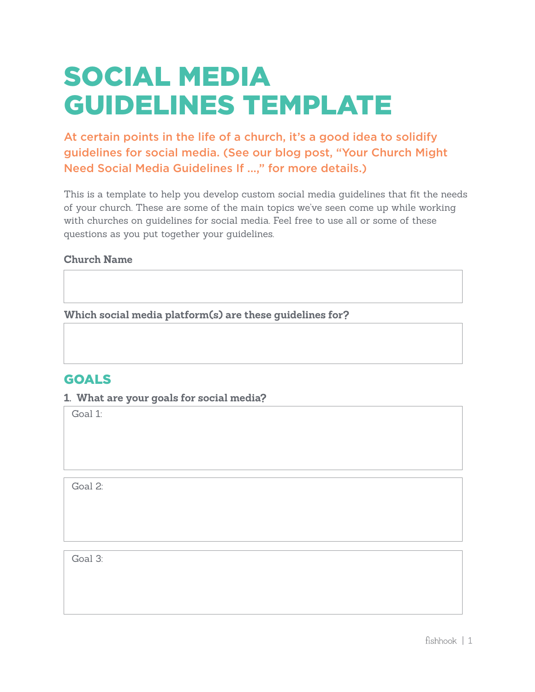# SOCIAL MEDIA GUIDELINES TEMPLATE

At certain points in the life of a church, it's a good idea to solidify guidelines for social media. (See our blog post, "Your Church Might Need Social Media Guidelines If ...," for more details.)

This is a template to help you develop custom social media guidelines that fit the needs of your church. These are some of the main topics we've seen come up while working with churches on guidelines for social media. Feel free to use all or some of these questions as you put together your guidelines.

#### **Church Name**

**Which social media platform(s) are these guidelines for?** 

## GOALS

#### **1. What are your goals for social media?**

Goal 1:

Goal 2:

Goal 3: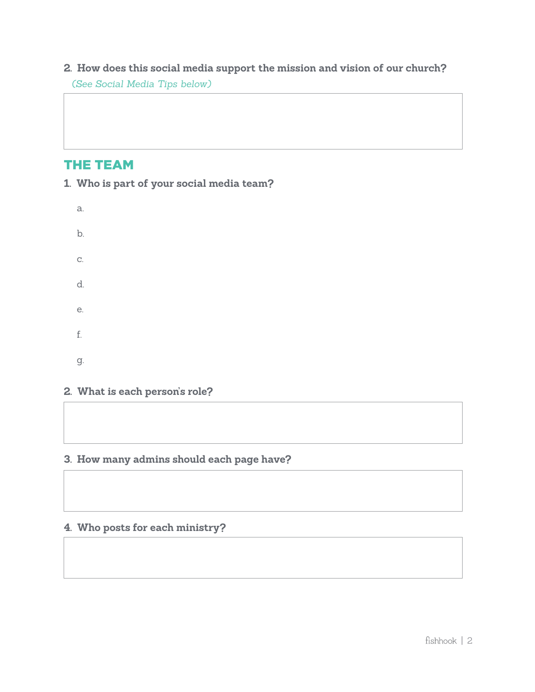## **2. How does this social media support the mission and vision of our church?**  *(See Social Media Tips below)*

## THE TEAM

**1. Who is part of your social media team?** 

| a.            |  |  |  |
|---------------|--|--|--|
| b.            |  |  |  |
| $\mathrm{C}.$ |  |  |  |
| d.            |  |  |  |
| е.            |  |  |  |
| ${\rm f.}$    |  |  |  |
| g.            |  |  |  |

## **2. What is each person's role?**

## **3. How many admins should each page have?**

### **4. Who posts for each ministry?**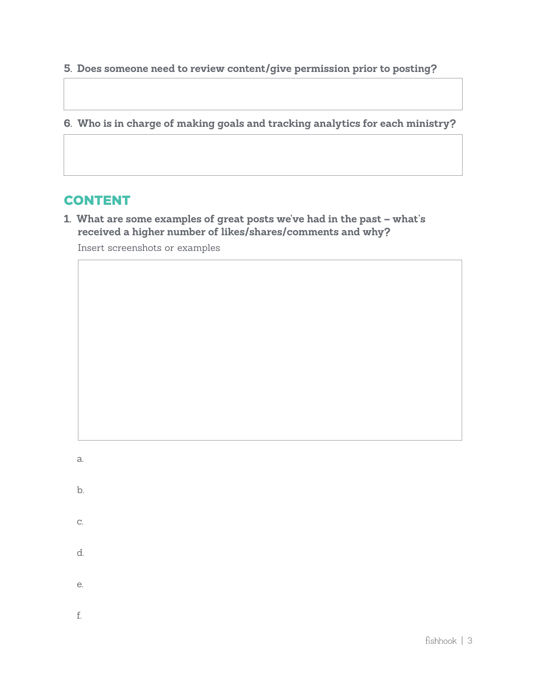**5. Does someone need to review content/give permission prior to posting?** 

**6. Who is in charge of making goals and tracking analytics for each ministry?** 

# CONTENT

**1. What are some examples of great posts we've had in the past – what's received a higher number of likes/shares/comments and why?** 

Insert screenshots or examples

a.

b.

d.

e.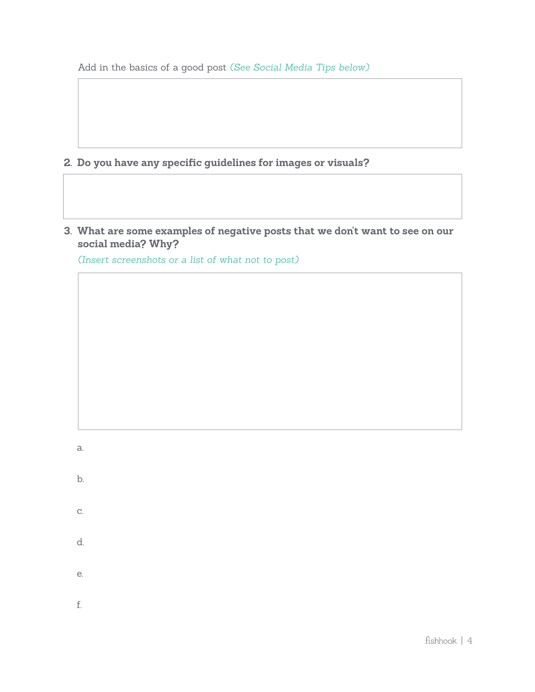Add in the basics of a good post *(See Social Media Tips below)* 

- **2. Do you have any specific guidelines for images or visuals?**
- **3. What are some examples of negative posts that we don't want to see on our social media? Why?**

*(Insert screenshots or a list of what not to post)* 

a.

- b.
- c.
- d.
- e.

f.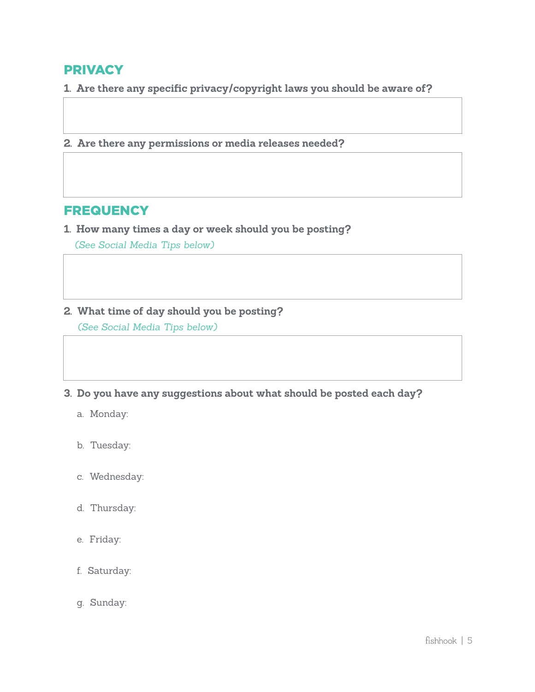## PRIVACY

**1. Are there any specific privacy/copyright laws you should be aware of?** 

**2. Are there any permissions or media releases needed?** 

## **FREQUENCY**

**1. How many times a day or week should you be posting?** 

*(See Social Media Tips below)*

#### **2. What time of day should you be posting?**

*(See Social Media Tips below)*

**3. Do you have any suggestions about what should be posted each day?**

- a. Monday:
- b. Tuesday:
- c. Wednesday:
- d. Thursday:
- e. Friday:
- f. Saturday:
- g. Sunday: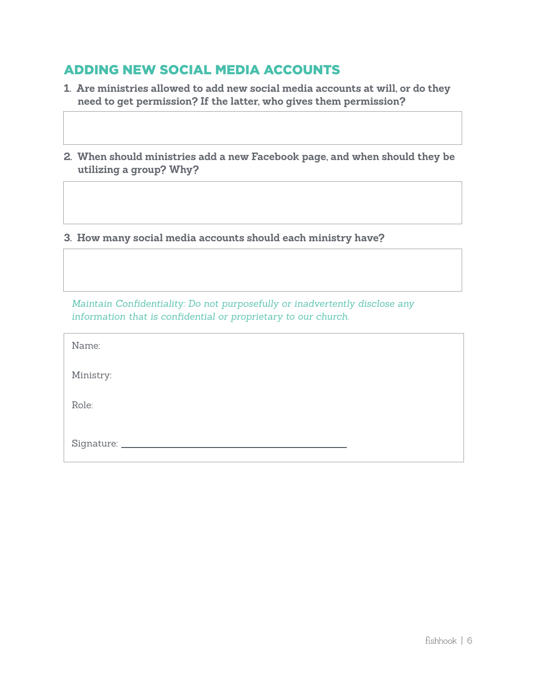# ADDING NEW SOCIAL MEDIA ACCOUNTS

- **1. Are ministries allowed to add new social media accounts at will, or do they need to get permission? If the latter, who gives them permission?**
- **2. When should ministries add a new Facebook page, and when should they be utilizing a group? Why?**

**3. How many social media accounts should each ministry have?** 

*Maintain Confidentiality: Do not purposefully or inadvertently disclose any information that is confidential or proprietary to our church.*

| Name:             |  |
|-------------------|--|
| Ministry:         |  |
| Role:             |  |
| Signature: ______ |  |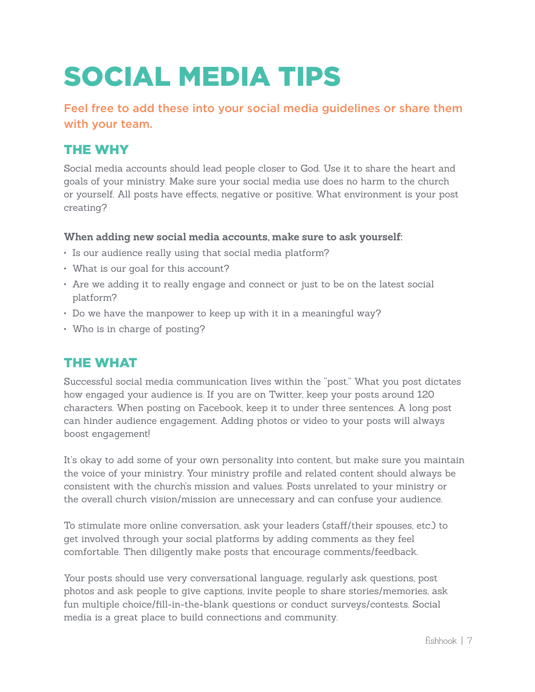# SOCIAL MEDIA TIPS

Feel free to add these into your social media guidelines or share them with your team.

# THE WHY

Social media accounts should lead people closer to God. Use it to share the heart and goals of your ministry. Make sure your social media use does no harm to the church or yourself. All posts have effects, negative or positive. What environment is your post creating?

### **When adding new social media accounts, make sure to ask yourself:**

- Is our audience really using that social media platform?
- What is our goal for this account?
- Are we adding it to really engage and connect or just to be on the latest social platform?
- Do we have the manpower to keep up with it in a meaningful way?
- Who is in charge of posting?

## THE WHAT

Successful social media communication lives within the "post." What you post dictates how engaged your audience is. If you are on Twitter, keep your posts around 120 characters. When posting on Facebook, keep it to under three sentences. A long post can hinder audience engagement. Adding photos or video to your posts will always boost engagement!

It's okay to add some of your own personality into content, but make sure you maintain the voice of your ministry. Your ministry profile and related content should always be consistent with the church's mission and values. Posts unrelated to your ministry or the overall church vision/mission are unnecessary and can confuse your audience.

To stimulate more online conversation, ask your leaders (staff/their spouses, etc.) to get involved through your social platforms by adding comments as they feel comfortable. Then diligently make posts that encourage comments/feedback.

Your posts should use very conversational language, regularly ask questions, post photos and ask people to give captions, invite people to share stories/memories, ask fun multiple choice/fill-in-the-blank questions or conduct surveys/contests. Social media is a great place to build connections and community.